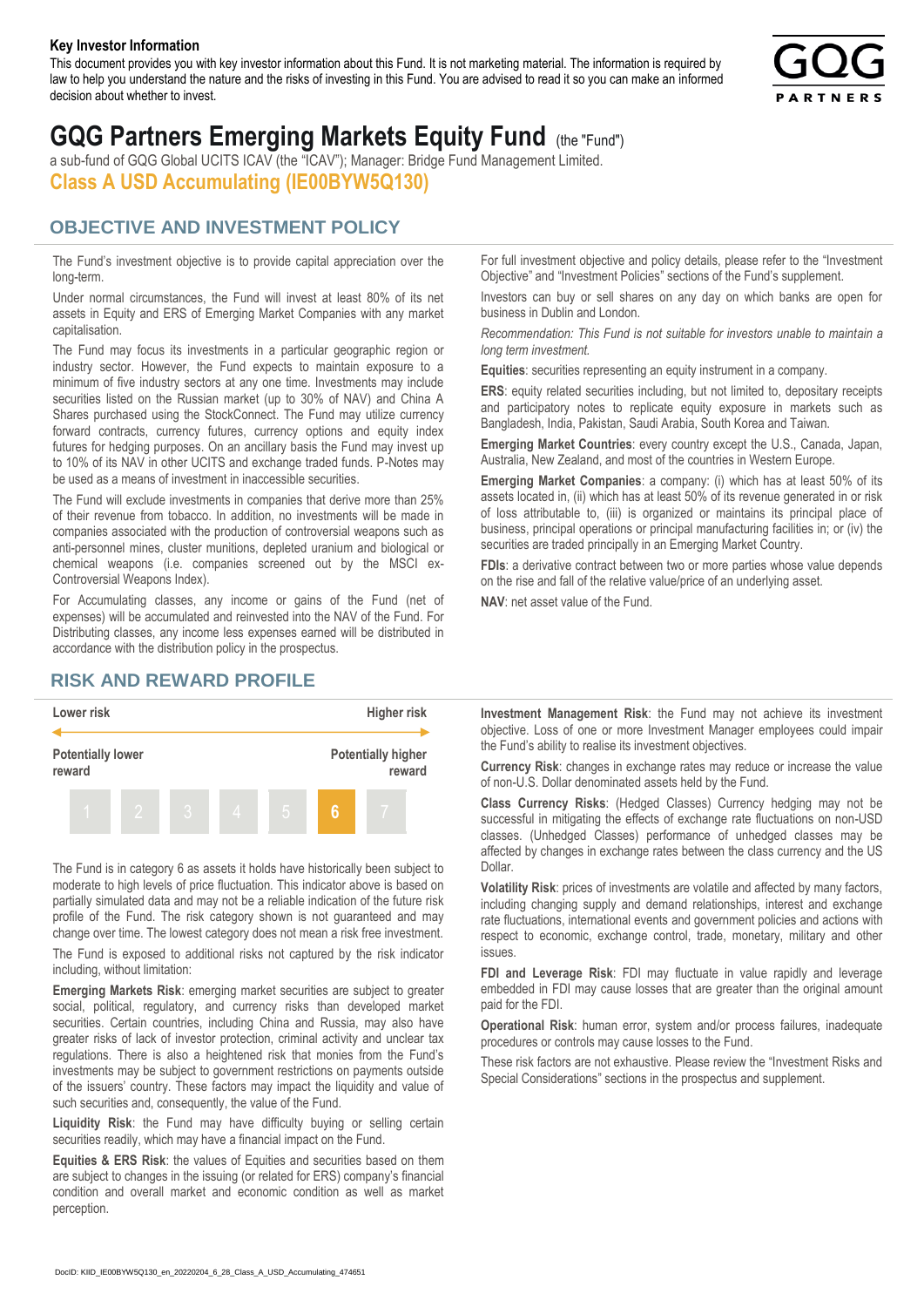#### **Key Investor Information**

This document provides you with key investor information about this Fund. It is not marketing material. The information is required by law to help you understand the nature and the risks of investing in this Fund. You are advised to read it so you can make an informed decision about whether to invest.



# **GQG Partners Emerging Markets Equity Fund** (the "Fund")

a sub-fund of GQG Global UCITS ICAV (the "ICAV"); Manager: Bridge Fund Management Limited. **Class A USD Accumulating (IE00BYW5Q130)**

#### **OBJECTIVE AND INVESTMENT POLICY**

The Fund's investment objective is to provide capital appreciation over the long-term.

Under normal circumstances, the Fund will invest at least 80% of its net assets in Equity and ERS of Emerging Market Companies with any market capitalisation.

The Fund may focus its investments in a particular geographic region or industry sector. However, the Fund expects to maintain exposure to a minimum of five industry sectors at any one time. Investments may include securities listed on the Russian market (up to 30% of NAV) and China A Shares purchased using the StockConnect. The Fund may utilize currency forward contracts, currency futures, currency options and equity index futures for hedging purposes. On an ancillary basis the Fund may invest up to 10% of its NAV in other UCITS and exchange traded funds. P-Notes may be used as a means of investment in inaccessible securities.

The Fund will exclude investments in companies that derive more than 25% of their revenue from tobacco. In addition, no investments will be made in companies associated with the production of controversial weapons such as anti-personnel mines, cluster munitions, depleted uranium and biological or chemical weapons (i.e. companies screened out by the MSCI ex-Controversial Weapons Index).

For Accumulating classes, any income or gains of the Fund (net of expenses) will be accumulated and reinvested into the NAV of the Fund. For Distributing classes, any income less expenses earned will be distributed in accordance with the distribution policy in the prospectus.

### **RISK AND REWARD PROFILE**



The Fund is in category 6 as assets it holds have historically been subject to moderate to high levels of price fluctuation. This indicator above is based on partially simulated data and may not be a reliable indication of the future risk profile of the Fund. The risk category shown is not guaranteed and may change over time. The lowest category does not mean a risk free investment.

The Fund is exposed to additional risks not captured by the risk indicator including, without limitation:

**Emerging Markets Risk**: emerging market securities are subject to greater social, political, regulatory, and currency risks than developed market securities. Certain countries, including China and Russia, may also have greater risks of lack of investor protection, criminal activity and unclear tax regulations. There is also a heightened risk that monies from the Fund's investments may be subject to government restrictions on payments outside of the issuers' country. These factors may impact the liquidity and value of such securities and, consequently, the value of the Fund.

**Liquidity Risk**: the Fund may have difficulty buying or selling certain securities readily, which may have a financial impact on the Fund.

**Equities & ERS Risk**: the values of Equities and securities based on them are subject to changes in the issuing (or related for ERS) company's financial condition and overall market and economic condition as well as market perception.

For full investment objective and policy details, please refer to the "Investment Objective" and "Investment Policies" sections of the Fund's supplement.

Investors can buy or sell shares on any day on which banks are open for business in Dublin and London.

*Recommendation: This Fund is not suitable for investors unable to maintain a long term investment.*

**Equities**: securities representing an equity instrument in a company.

**ERS:** equity related securities including, but not limited to, depositary receipts and participatory notes to replicate equity exposure in markets such as Bangladesh, India, Pakistan, Saudi Arabia, South Korea and Taiwan.

**Emerging Market Countries**: every country except the U.S., Canada, Japan, Australia, New Zealand, and most of the countries in Western Europe.

**Emerging Market Companies**: a company: (i) which has at least 50% of its assets located in, (ii) which has at least 50% of its revenue generated in or risk of loss attributable to, (iii) is organized or maintains its principal place of business, principal operations or principal manufacturing facilities in; or (iv) the securities are traded principally in an Emerging Market Country.

**FDIs**: a derivative contract between two or more parties whose value depends on the rise and fall of the relative value/price of an underlying asset.

**NAV**: net asset value of the Fund.

**Investment Management Risk**: the Fund may not achieve its investment objective. Loss of one or more Investment Manager employees could impair the Fund's ability to realise its investment objectives.

**Currency Risk**: changes in exchange rates may reduce or increase the value of non-U.S. Dollar denominated assets held by the Fund.

**Class Currency Risks**: (Hedged Classes) Currency hedging may not be successful in mitigating the effects of exchange rate fluctuations on non-USD classes. (Unhedged Classes) performance of unhedged classes may be affected by changes in exchange rates between the class currency and the US Dollar.

**Volatility Risk**: prices of investments are volatile and affected by many factors, including changing supply and demand relationships, interest and exchange rate fluctuations, international events and government policies and actions with respect to economic, exchange control, trade, monetary, military and other issues.

**FDI and Leverage Risk**: FDI may fluctuate in value rapidly and leverage embedded in FDI may cause losses that are greater than the original amount paid for the FDI.

**Operational Risk**: human error, system and/or process failures, inadequate procedures or controls may cause losses to the Fund.

These risk factors are not exhaustive. Please review the "Investment Risks and Special Considerations" sections in the prospectus and supplement.